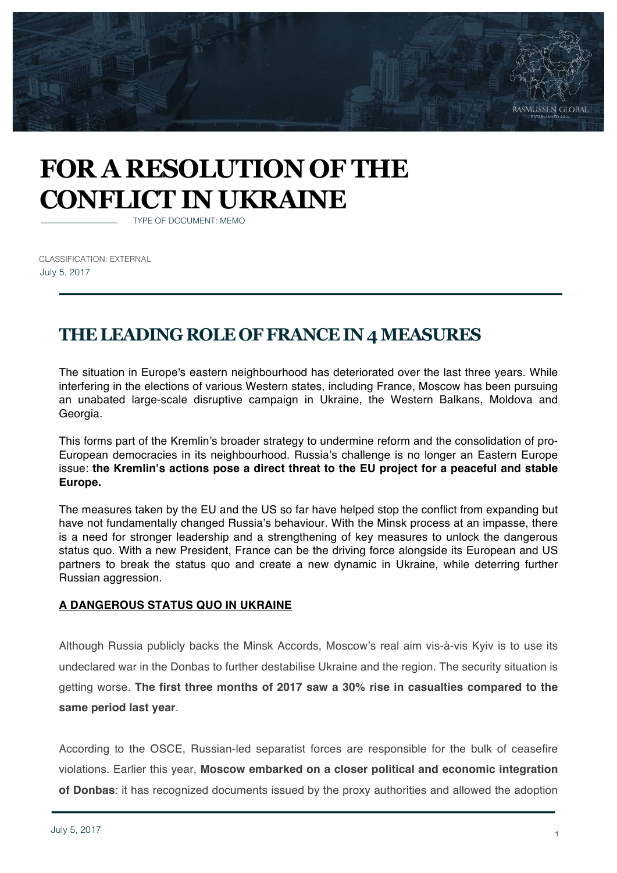

# **FOR A RESOLUTION OF THE CONFLICT IN UKRAINE**

TYPE OF DOCUMENT: MEMO

CLASSIFICATION: EXTERNAL July 5, 2017

## **THE LEADING ROLE OF FRANCE IN 4 MEASURES**

The situation in Europe's eastern neighbourhood has deteriorated over the last three years. While interfering in the elections of various Western states, including France, Moscow has been pursuing an unabated large-scale disruptive campaign in Ukraine, the Western Balkans, Moldova and Georgia.

This forms part of the Kremlin's broader strategy to undermine reform and the consolidation of pro-European democracies in its neighbourhood. Russia's challenge is no longer an Eastern Europe issue: **the Kremlin's actions pose a direct threat to the EU project for a peaceful and stable Europe.** 

The measures taken by the EU and the US so far have helped stop the conflict from expanding but have not fundamentally changed Russia's behaviour. With the Minsk process at an impasse, there is a need for stronger leadership and a strengthening of key measures to unlock the dangerous status quo. With a new President, France can be the driving force alongside its European and US partners to break the status quo and create a new dynamic in Ukraine, while deterring further Russian aggression.

#### **A DANGEROUS STATUS QUO IN UKRAINE**

Although Russia publicly backs the Minsk Accords, Moscow's real aim vis-à-vis Kyiv is to use its undeclared war in the Donbas to further destabilise Ukraine and the region. The security situation is getting worse. **The first three months of 2017 saw a 30% rise in casualties compared to the same period last year**.

According to the OSCE, Russian-led separatist forces are responsible for the bulk of ceasefire violations. Earlier this year, **Moscow embarked on a closer political and economic integration of Donbas**: it has recognized documents issued by the proxy authorities and allowed the adoption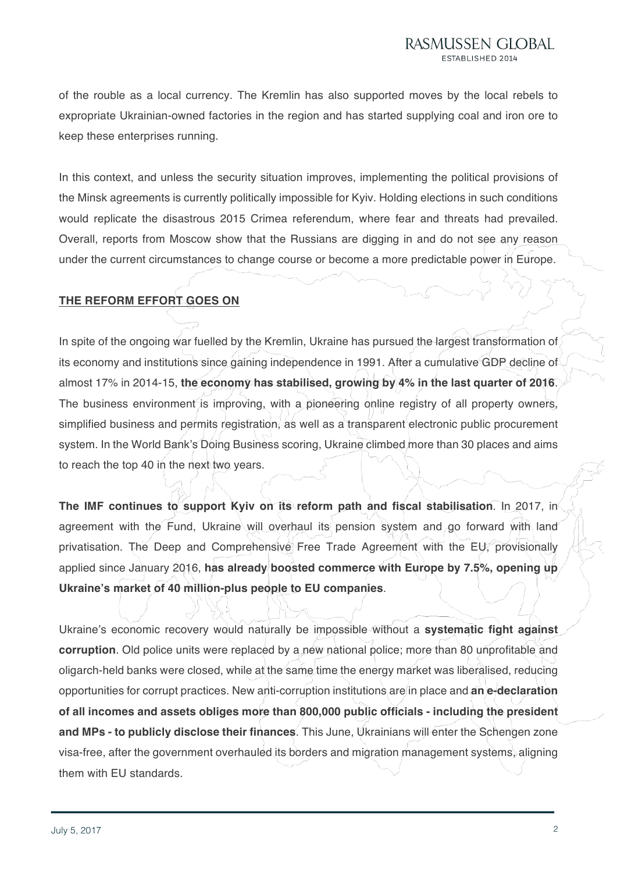of the rouble as a local currency. The Kremlin has also supported moves by the local rebels to expropriate Ukrainian-owned factories in the region and has started supplying coal and iron ore to keep these enterprises running.

In this context, and unless the security situation improves, implementing the political provisions of the Minsk agreements is currently politically impossible for Kyiv. Holding elections in such conditions would replicate the disastrous 2015 Crimea referendum, where fear and threats had prevailed. Overall, reports from Moscow show that the Russians are digging in and do not see any reason under the current circumstances to change course or become a more predictable power in Europe.

### **THE REFORM EFFORT GOES ON**

In spite of the ongoing war fuelled by the Kremlin, Ukraine has pursued the largest transformation of its economy and institutions since gaining independence in 1991. After a cumulative GDP decline of almost 17% in 2014-15, **the economy has stabilised, growing by 4% in the last quarter of 2016**. The business environment is improving, with a pioneering online registry of all property owners, simplified business and permits registration, as well as a transparent electronic public procurement system. In the World Bank's Doing Business scoring, Ukraine climbed more than 30 places and aims to reach the top 40 in the next two years.

**The IMF continues to support Kyiv on its reform path and fiscal stabilisation.** In 2017, in agreement with the Fund, Ukraine will overhaul its pension system and go forward with land privatisation. The Deep and Comprehensive Free Trade Agreement with the EU, provisionally applied since January 2016, **has already boosted commerce with Europe by 7.5%, opening up Ukraine's market of 40 million-plus people to EU companies**.

Ukraine's economic recovery would naturally be impossible without a **systematic fight against corruption**. Old police units were replaced by a new national police; more than 80 unprofitable and oligarch-held banks were closed, while at the same time the energy market was liberalised, reducing opportunities for corrupt practices. New anti-corruption institutions are in place and **an e-declaration of all incomes and assets obliges more than 800,000 public officials - including the president and MPs - to publicly disclose their finances**. This June, Ukrainians will enter the Schengen zone visa-free, after the government overhauled its borders and migration management systems, aligning them with EU standards.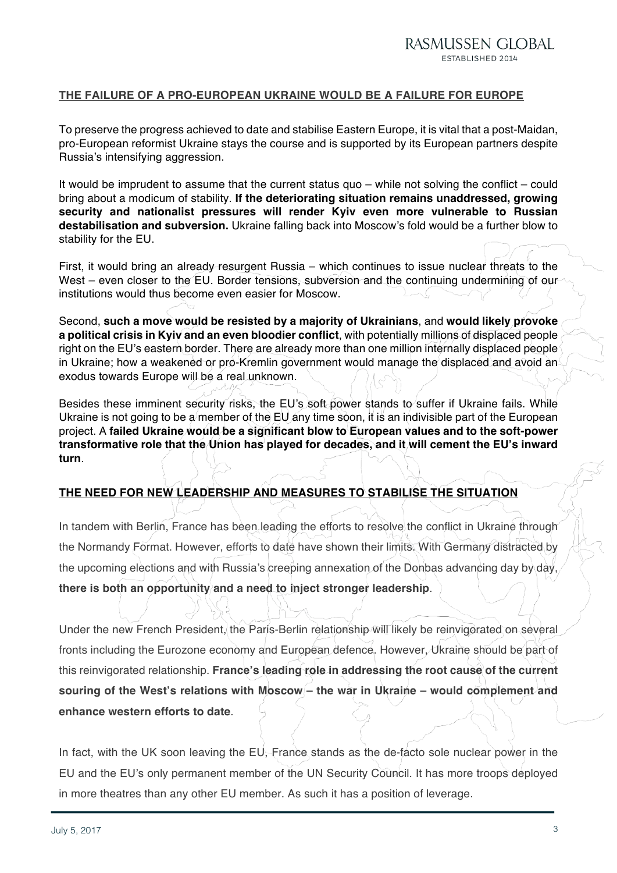#### **THE FAILURE OF A PRO-EUROPEAN UKRAINE WOULD BE A FAILURE FOR EUROPE**

To preserve the progress achieved to date and stabilise Eastern Europe, it is vital that a post-Maidan, pro-European reformist Ukraine stays the course and is supported by its European partners despite Russia's intensifying aggression.

It would be imprudent to assume that the current status quo – while not solving the conflict – could bring about a modicum of stability. **If the deteriorating situation remains unaddressed, growing security and nationalist pressures will render Kyiv even more vulnerable to Russian destabilisation and subversion.** Ukraine falling back into Moscow's fold would be a further blow to stability for the EU.

First, it would bring an already resurgent Russia – which continues to issue nuclear threats to the West – even closer to the EU. Border tensions, subversion and the continuing undermining of our institutions would thus become even easier for Moscow.

Second, **such a move would be resisted by a majority of Ukrainians**, and **would likely provoke a political crisis in Kyiv and an even bloodier conflict**, with potentially millions of displaced people right on the EU's eastern border. There are already more than one million internally displaced people in Ukraine; how a weakened or pro-Kremlin government would manage the displaced and avoid an exodus towards Europe will be a real unknown.

Besides these imminent security risks, the EU's soft power stands to suffer if Ukraine fails. While Ukraine is not going to be a member of the  $EU$  any time soon, it is an indivisible part of the European project. A **failed Ukraine would be a significant blow to European values and to the soft-power transformative role that the Union has played for decades, and it will cement the EU's inward turn**.

#### **THE NEED FOR NEW LEADERSHIP AND MEASURES TO STABILISE THE SITUATION**

In tandem with Berlin, France has been leading the efforts to resolve the conflict in Ukraine through the Normandy Format. However, efforts to date have shown their limits. With Germany distracted by the upcoming elections and with Russia's creeping annexation of the Donbas advancing day by day, **there is both an opportunity and a need to inject stronger leadership**.

Under the new French President, the Paris-Berlin relationship will likely be reinvigorated on several fronts including the Eurozone economy and European defence. However, Ukraine should be part of this reinvigorated relationship. **France's leading role in addressing the root cause of the current souring of the West's relations with Moscow – the war in Ukraine – would complement and enhance western efforts to date**.

In fact, with the UK soon leaving the EU, France stands as the de-facto sole nuclear power in the EU and the EU's only permanent member of the UN Security Council. It has more troops deployed in more theatres than any other EU member. As such it has a position of leverage.